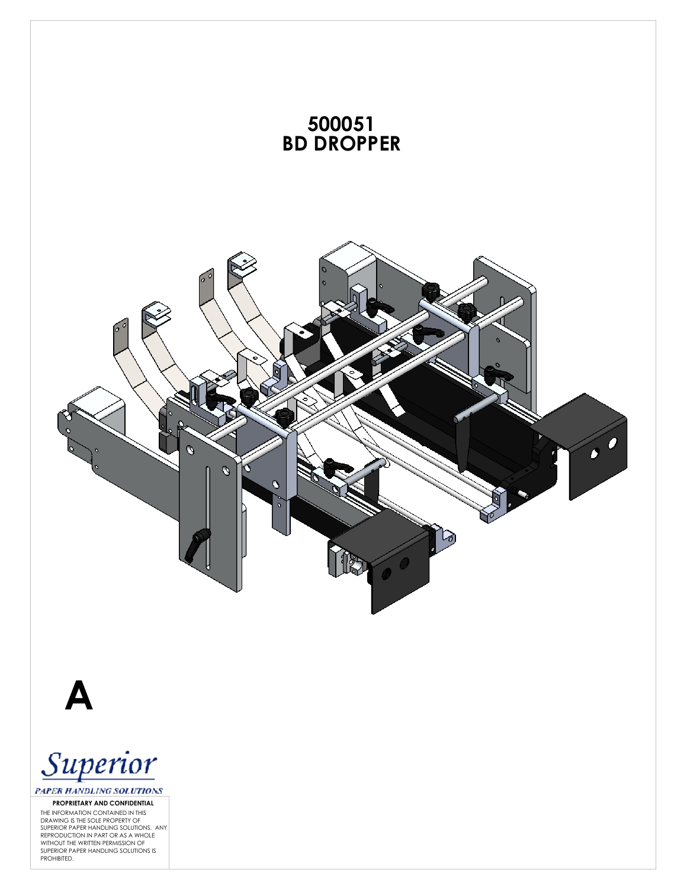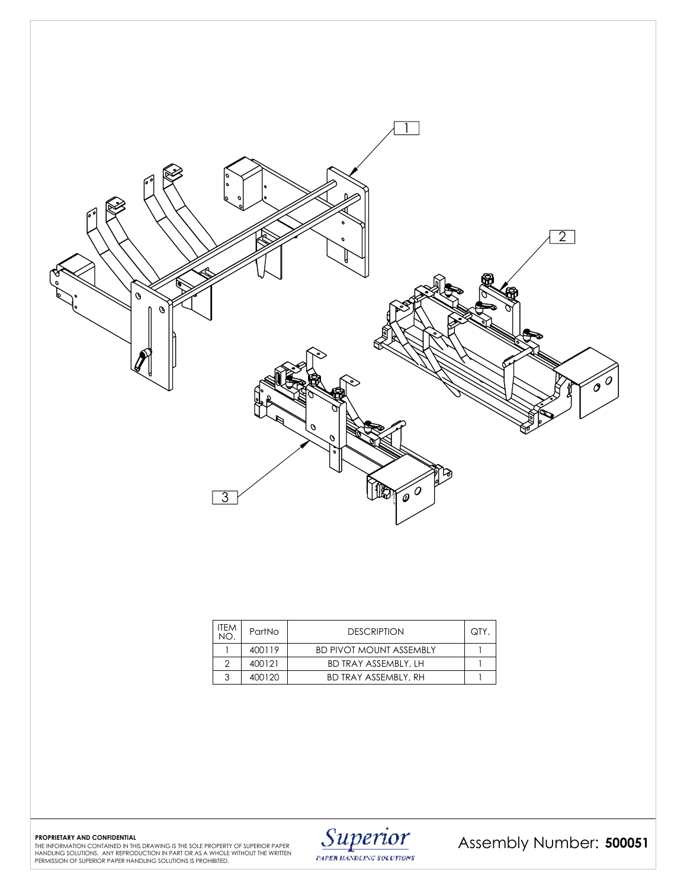

| <b>ITEM</b><br>NΟ | PartNo | <b>DESCRIPTION</b>             | QTY. |
|-------------------|--------|--------------------------------|------|
|                   | 400119 | <b>BD PIVOT MOUNT ASSEMBLY</b> |      |
| ◠                 | 400121 | <b>BD TRAY ASSEMBLY, LH</b>    |      |
| 3                 | 400120 | <b>BD TRAY ASSEMBLY, RH</b>    |      |

**PAPER HANDLING SOLUTIONS** 

Assembly Number: 500051

PROPRIETARY AND CONFIDENTIAL<br>THE INFORMATION CONTAINED IRITHIS DRAWING IS THE SOLE PROPERTY OF SUPERIOR PAPER **Description of the sole property**<br>PERINDING SOLUTIONS. ANY REPRODUCTION IN PART OR AS A WHOLE WITHOUT THE WRITT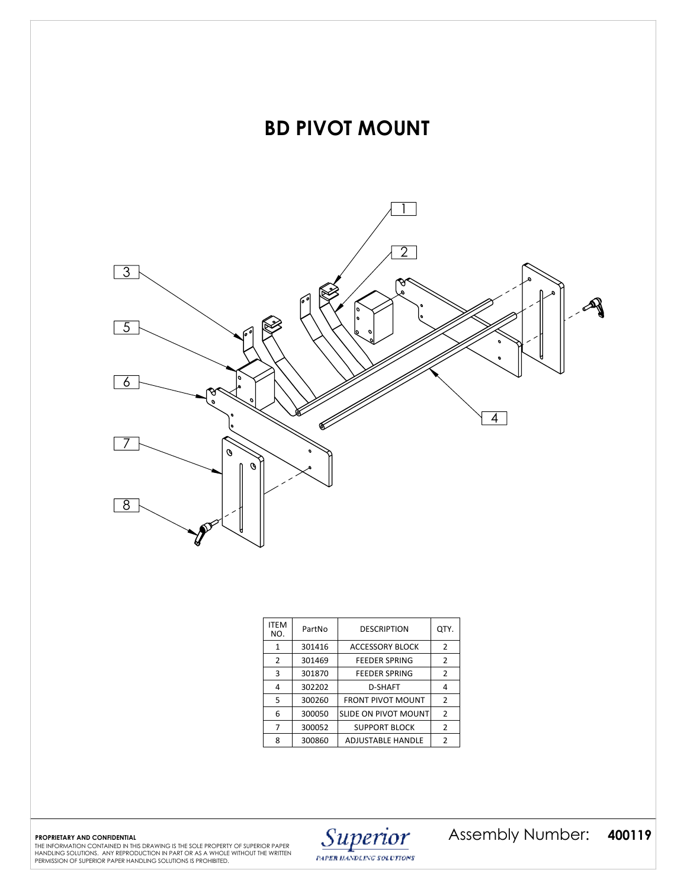

| <b>ITEM</b><br>NO. | PartNo | <b>DESCRIPTION</b>          | QTY.           |
|--------------------|--------|-----------------------------|----------------|
| 1                  | 301416 | <b>ACCESSORY BLOCK</b>      | $\overline{2}$ |
| 2                  | 301469 | <b>FEEDER SPRING</b>        | 2              |
| 3                  | 301870 | <b>FEEDER SPRING</b>        | $\overline{2}$ |
| 4                  | 302202 | D-SHAFT                     | 4              |
| 5                  | 300260 | <b>FRONT PIVOT MOUNT</b>    | $\overline{2}$ |
| 6                  | 300050 | <b>SLIDE ON PIVOT MOUNT</b> | $\overline{2}$ |
|                    | 300052 | <b>SUPPORT BLOCK</b>        | 2              |
| ጸ                  | 300860 | <b>ADJUSTABLE HANDLE</b>    | 2              |

PAPER HANDLING SOLUTIONS

PROPRIETARY AND CONFIDENTIAL **400119** THE SOLE PROPERTY OF SUPERIOR PAPER **strawing is the sole property of superior paper** and **Super<b>Tio**r Assembly Number (1980), 200119 The Sole of Assemble of Assemble of Dumber 1990, 2 Assembly Number:

HANDLING SOLUTIONS. ANY REPRODUCTION IN PART OR AS A WHOLE WITHOUT THE WRITTEN PERMISSION OF SUPERIOR PAPER HANDLING SOLUTIONS IS PROHIBITED.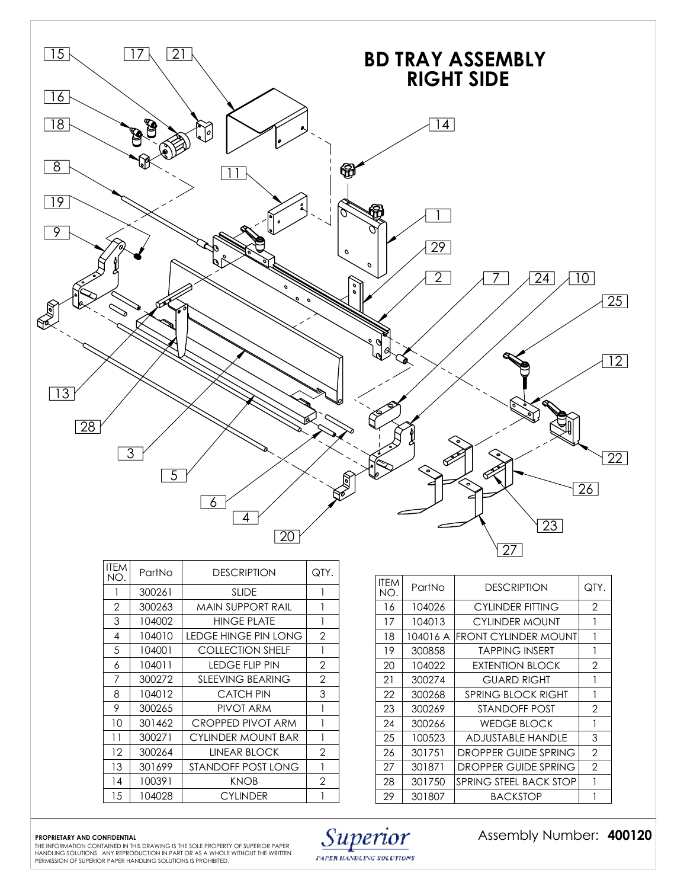

| ITEM<br>NO.  | PartNo | <b>DESCRIPTION</b>        | QTY.           |
|--------------|--------|---------------------------|----------------|
| 1            | 300261 | <b>SLIDE</b>              | 1              |
| $\mathbf{2}$ | 300263 | MAIN SUPPORT RAIL         | 1              |
| 3            | 104002 | <b>HINGE PLATE</b>        | 1              |
| 4            | 104010 | LEDGE HINGE PIN LONG      | $\overline{2}$ |
| 5            | 104001 | <b>COLLECTION SHELF</b>   | 1              |
| 6            | 104011 | LEDGE FLIP PIN            | 2              |
| 7            | 300272 | <b>SLEEVING BEARING</b>   | 2              |
| 8            | 104012 | <b>CATCH PIN</b>          | 3              |
| 9            | 300265 | PIVOT ARM                 | 1              |
| 10           | 301462 | CROPPED PIVOT ARM         | 1              |
| 11           | 300271 | <b>CYLINDER MOUNT BAR</b> | 1              |
| $12 \,$      | 300264 | LINEAR BLOCK              | 2              |
| 13           | 301699 | STANDOFF POST LONG        | 1              |
| 14           | 100391 | <b>KNOB</b>               | 2              |
| 15           | 104028 | <b>CYLINDER</b>           |                |
|              |        |                           |                |

| <b>ITFM</b><br>NO. | PartNo   | <b>DESCRIPTION</b>          | QTY.           |
|--------------------|----------|-----------------------------|----------------|
| 16                 | 104026   | <b>CYLINDER FITTING</b>     | 2              |
| 17                 | 104013   | CYLINDER MOUNT              | 1              |
| 18                 | 104016 A | <b>FRONT CYLINDER MOUNT</b> |                |
| 19                 | 300858   | <b>TAPPING INSERT</b>       | 1              |
| 20                 | 104022   | <b>EXTENTION BLOCK</b>      | 2              |
| 21                 | 300274   | <b>GUARD RIGHT</b>          |                |
| 22                 | 300268   | <b>SPRING BLOCK RIGHT</b>   | 1              |
| 23                 | 300269   | STANDOFF POST               | 2              |
| 24                 | 300266   | <b>WEDGE BLOCK</b>          | 1              |
| 25                 | 100523   | ADJUSTABLE HANDLE           | 3              |
| 26                 | 301751   | DROPPER GUIDE SPRING        | 2              |
| 27                 | 301871   | DROPPER GUIDE SPRING        | $\mathfrak{D}$ |
| 28                 | 301750   | SPRING STEEL BACK STOP      |                |
| 29                 | 301807   | <b>BACKSTOP</b>             |                |

**PROPRIETARY AND CONFIDENTIAL 400120** THE INFORMATION CONTAINED IN THIS DRAWING IS THE SOLE PROPERTY OF SUPERIOR PAPER HANDLING SOLUTIONS. ANY REPRODUCTION IN PART OR AS A WHOLE WITHOUT THE WRITTEN PERMISSION OF SUPERIOR PAPER HANDLING SOLUTIONS IS PROHIBITED.



Assembly Number: 400120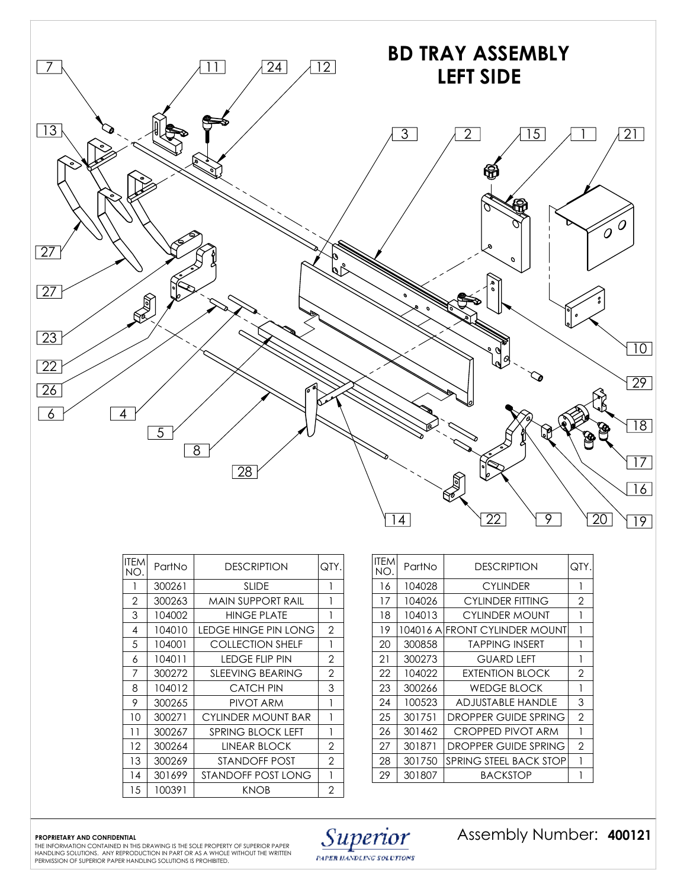

| <b>ITEM</b><br>NO. | PartNo | <b>DESCRIPTION</b>       | QTY.           |
|--------------------|--------|--------------------------|----------------|
| 1                  | 300261 | <b>SLIDE</b>             |                |
| 2                  | 300263 | MAIN SUPPORT RAIL        | 1              |
| 3                  | 104002 | <b>HINGE PLATE</b>       | 1              |
| 4                  | 104010 | LEDGE HINGE PIN LONG     | 2              |
| 5                  | 104001 | <b>COLLECTION SHELF</b>  | 1              |
| 6                  | 104011 | <b>LEDGE FLIP PIN</b>    | $\overline{2}$ |
| 7                  | 300272 | <b>SLEEVING BEARING</b>  | $\overline{2}$ |
| 8                  | 104012 | <b>CATCH PIN</b>         | 3              |
| 9                  | 300265 | PIVOT ARM                | 1              |
| 10                 | 300271 | CYLINDER MOUNT BAR       | 1              |
| 11                 | 300267 | <b>SPRING BLOCK LEFT</b> | 1              |
| 12                 | 300264 | LINEAR BLOCK             | 2              |
| 13                 | 300269 | STANDOFF POST            | $\overline{2}$ |
| 14                 | 301699 | STANDOFF POST LONG       | 1              |
| 15                 | 100391 | <b>KNOB</b>              | $\overline{2}$ |

| ITEM<br>NO. | PartNo | DESCRIPTION                   | QTY.           |
|-------------|--------|-------------------------------|----------------|
| 16          | 104028 | <b>CYLINDER</b>               | 1              |
| 17          | 104026 | <b>CYLINDER FITTING</b>       | 2              |
| 18          | 104013 | CYLINDER MOUNT                | 1              |
| 19          |        | 104016 AIFRONT CYLINDER MOUNT | 1              |
| 20          | 300858 | <b>TAPPING INSERT</b>         | 1              |
| 21          | 300273 | GUARD LEFT                    | 1              |
| 22          | 104022 | <b>EXTENTION BLOCK</b>        | 2              |
| 23          | 300266 | <b>WEDGE BLOCK</b>            | 1              |
| 24          | 100523 | ADJUSTABLE HANDLE             | 3              |
| 25          | 301751 | DROPPER GUIDE SPRING          | $\overline{2}$ |
| 26          | 301462 | CROPPED PIVOT ARM             | 1              |
| 27          | 301871 | DROPPER GUIDE SPRING          | $\overline{2}$ |
| 28          | 301750 | SPRING STEEL BACK STOP        | 1              |
| 29          | 301807 | BACKSTOP                      | 1              |

PROPRIETARY AND CONFIDENTIAL **400121** THE SOLE PROPERTY OF SUPERIOR PAPER  $\text{Supersal}$  *Suppetiot* Assembly Number Number ( 400121 The information contained in this drawing is the sole property of superior paper  $\text{Supersal}$ HANDLING SOLUTIONS. ANY REPRODUCTION IN PART OR AS A WHOLE WITHOUT THE WRITTEN PERMISSION OF SUPERIOR PAPER HANDLING SOLUTIONS IS PROHIBITED.



Assembly Number: 400121